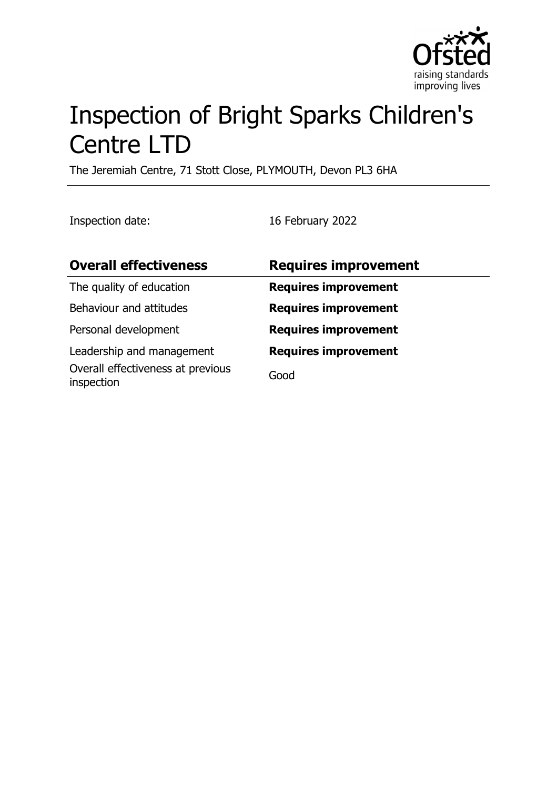

# Inspection of Bright Sparks Children's Centre LTD

The Jeremiah Centre, 71 Stott Close, PLYMOUTH, Devon PL3 6HA

Inspection date: 16 February 2022

| <b>Overall effectiveness</b>                    | <b>Requires improvement</b> |
|-------------------------------------------------|-----------------------------|
| The quality of education                        | <b>Requires improvement</b> |
| Behaviour and attitudes                         | <b>Requires improvement</b> |
| Personal development                            | <b>Requires improvement</b> |
| Leadership and management                       | <b>Requires improvement</b> |
| Overall effectiveness at previous<br>inspection | Good                        |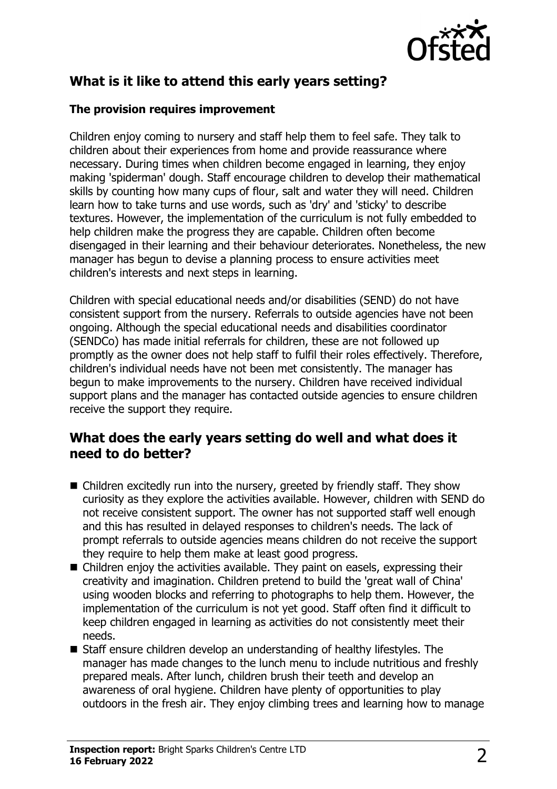

# **What is it like to attend this early years setting?**

### **The provision requires improvement**

Children enjoy coming to nursery and staff help them to feel safe. They talk to children about their experiences from home and provide reassurance where necessary. During times when children become engaged in learning, they enjoy making 'spiderman' dough. Staff encourage children to develop their mathematical skills by counting how many cups of flour, salt and water they will need. Children learn how to take turns and use words, such as 'dry' and 'sticky' to describe textures. However, the implementation of the curriculum is not fully embedded to help children make the progress they are capable. Children often become disengaged in their learning and their behaviour deteriorates. Nonetheless, the new manager has begun to devise a planning process to ensure activities meet children's interests and next steps in learning.

Children with special educational needs and/or disabilities (SEND) do not have consistent support from the nursery. Referrals to outside agencies have not been ongoing. Although the special educational needs and disabilities coordinator (SENDCo) has made initial referrals for children, these are not followed up promptly as the owner does not help staff to fulfil their roles effectively. Therefore, children's individual needs have not been met consistently. The manager has begun to make improvements to the nursery. Children have received individual support plans and the manager has contacted outside agencies to ensure children receive the support they require.

## **What does the early years setting do well and what does it need to do better?**

- $\blacksquare$  Children excitedly run into the nursery, greeted by friendly staff. They show curiosity as they explore the activities available. However, children with SEND do not receive consistent support. The owner has not supported staff well enough and this has resulted in delayed responses to children's needs. The lack of prompt referrals to outside agencies means children do not receive the support they require to help them make at least good progress.
- $\blacksquare$  Children enjoy the activities available. They paint on easels, expressing their creativity and imagination. Children pretend to build the 'great wall of China' using wooden blocks and referring to photographs to help them. However, the implementation of the curriculum is not yet good. Staff often find it difficult to keep children engaged in learning as activities do not consistently meet their needs.
- $\blacksquare$  Staff ensure children develop an understanding of healthy lifestyles. The manager has made changes to the lunch menu to include nutritious and freshly prepared meals. After lunch, children brush their teeth and develop an awareness of oral hygiene. Children have plenty of opportunities to play outdoors in the fresh air. They enjoy climbing trees and learning how to manage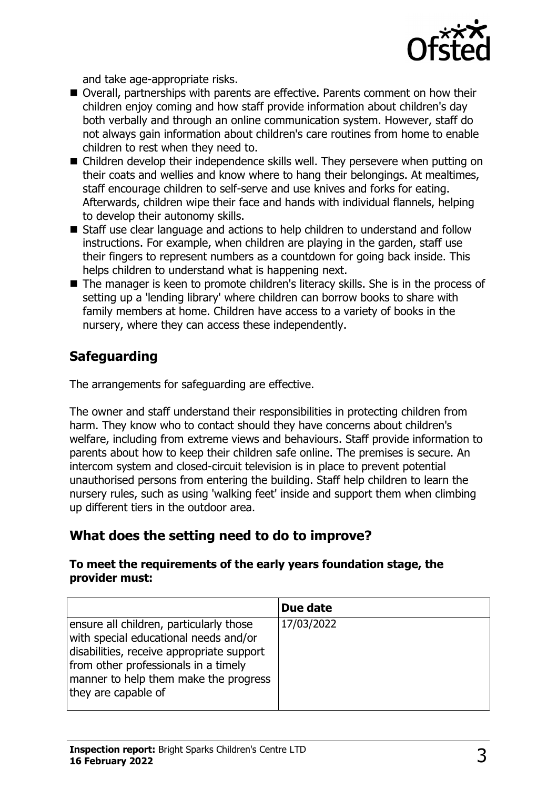

and take age-appropriate risks.

- Overall, partnerships with parents are effective. Parents comment on how their children enjoy coming and how staff provide information about children's day both verbally and through an online communication system. However, staff do not always gain information about children's care routines from home to enable children to rest when they need to.
- $\blacksquare$  Children develop their independence skills well. They persevere when putting on their coats and wellies and know where to hang their belongings. At mealtimes, staff encourage children to self-serve and use knives and forks for eating. Afterwards, children wipe their face and hands with individual flannels, helping to develop their autonomy skills.
- Staff use clear language and actions to help children to understand and follow instructions. For example, when children are playing in the garden, staff use their fingers to represent numbers as a countdown for going back inside. This helps children to understand what is happening next.
- $\blacksquare$  The manager is keen to promote children's literacy skills. She is in the process of setting up a 'lending library' where children can borrow books to share with family members at home. Children have access to a variety of books in the nursery, where they can access these independently.

# **Safeguarding**

The arrangements for safeguarding are effective.

The owner and staff understand their responsibilities in protecting children from harm. They know who to contact should they have concerns about children's welfare, including from extreme views and behaviours. Staff provide information to parents about how to keep their children safe online. The premises is secure. An intercom system and closed-circuit television is in place to prevent potential unauthorised persons from entering the building. Staff help children to learn the nursery rules, such as using 'walking feet' inside and support them when climbing up different tiers in the outdoor area.

## **What does the setting need to do to improve?**

#### **To meet the requirements of the early years foundation stage, the provider must:**

|                                                                                                                                                                                                                                       | Due date   |
|---------------------------------------------------------------------------------------------------------------------------------------------------------------------------------------------------------------------------------------|------------|
| ensure all children, particularly those<br>with special educational needs and/or<br>disabilities, receive appropriate support<br>from other professionals in a timely<br>manner to help them make the progress<br>they are capable of | 17/03/2022 |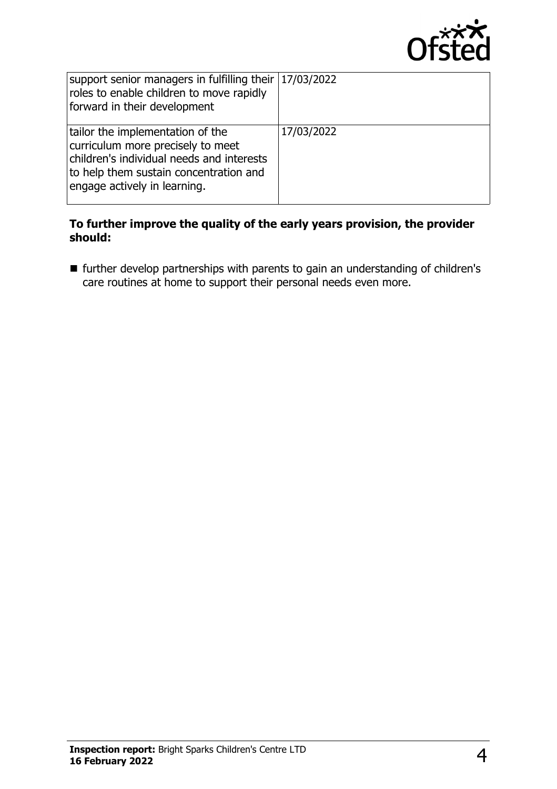

| support senior managers in fulfilling their $17/03/2022$<br>roles to enable children to move rapidly<br>forward in their development                                                         |            |
|----------------------------------------------------------------------------------------------------------------------------------------------------------------------------------------------|------------|
| tailor the implementation of the<br>curriculum more precisely to meet<br>children's individual needs and interests<br>to help them sustain concentration and<br>engage actively in learning. | 17/03/2022 |

#### **To further improve the quality of the early years provision, the provider should:**

 $\blacksquare$  further develop partnerships with parents to gain an understanding of children's care routines at home to support their personal needs even more.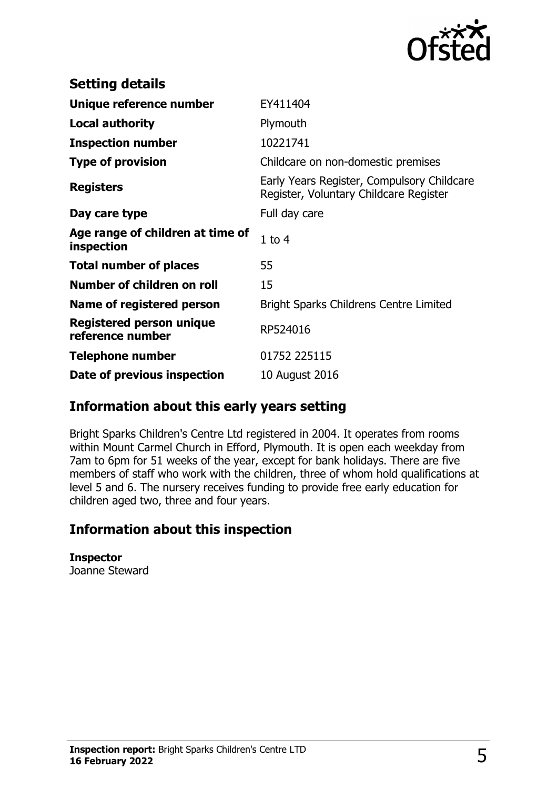

| <b>Setting details</b>                              |                                                                                      |
|-----------------------------------------------------|--------------------------------------------------------------------------------------|
| Unique reference number                             | EY411404                                                                             |
| <b>Local authority</b>                              | Plymouth                                                                             |
| <b>Inspection number</b>                            | 10221741                                                                             |
| <b>Type of provision</b>                            | Childcare on non-domestic premises                                                   |
| <b>Registers</b>                                    | Early Years Register, Compulsory Childcare<br>Register, Voluntary Childcare Register |
| Day care type                                       | Full day care                                                                        |
| Age range of children at time of<br>inspection      | 1 to $4$                                                                             |
| <b>Total number of places</b>                       | 55                                                                                   |
| Number of children on roll                          | 15                                                                                   |
| Name of registered person                           | <b>Bright Sparks Childrens Centre Limited</b>                                        |
| <b>Registered person unique</b><br>reference number | RP524016                                                                             |
| <b>Telephone number</b>                             | 01752 225115                                                                         |
| Date of previous inspection                         | 10 August 2016                                                                       |

# **Information about this early years setting**

Bright Sparks Children's Centre Ltd registered in 2004. It operates from rooms within Mount Carmel Church in Efford, Plymouth. It is open each weekday from 7am to 6pm for 51 weeks of the year, except for bank holidays. There are five members of staff who work with the children, three of whom hold qualifications at level 5 and 6. The nursery receives funding to provide free early education for children aged two, three and four years.

# **Information about this inspection**

**Inspector** Joanne Steward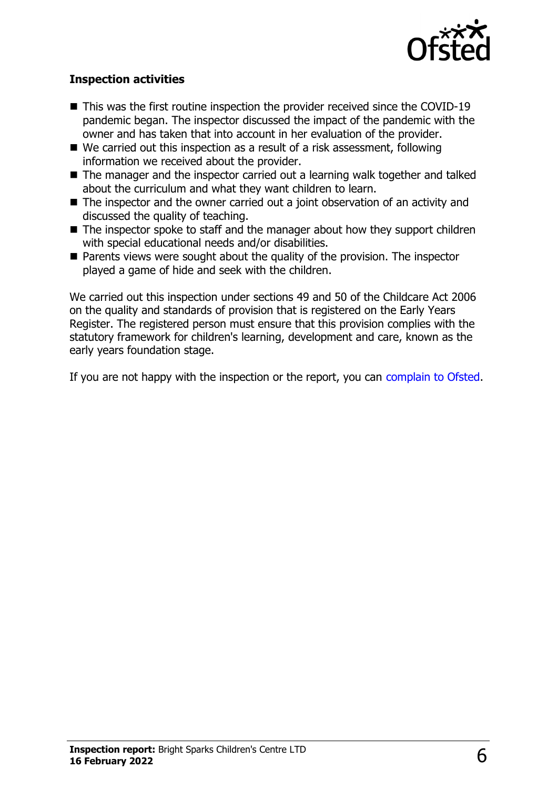

## **Inspection activities**

- $\blacksquare$  This was the first routine inspection the provider received since the COVID-19 pandemic began. The inspector discussed the impact of the pandemic with the owner and has taken that into account in her evaluation of the provider.
- $\blacksquare$  We carried out this inspection as a result of a risk assessment, following information we received about the provider.
- $\blacksquare$  The manager and the inspector carried out a learning walk together and talked about the curriculum and what they want children to learn.
- $\blacksquare$  The inspector and the owner carried out a joint observation of an activity and discussed the quality of teaching.
- $\blacksquare$  The inspector spoke to staff and the manager about how they support children with special educational needs and/or disabilities.
- $\blacksquare$  Parents views were sought about the quality of the provision. The inspector played a game of hide and seek with the children.

We carried out this inspection under sections 49 and 50 of the Childcare Act 2006 on the quality and standards of provision that is registered on the Early Years Register. The registered person must ensure that this provision complies with the statutory framework for children's learning, development and care, known as the early years foundation stage.

If you are not happy with the inspection or the report, you can [complain to Ofsted](http://www.gov.uk/complain-ofsted-report).